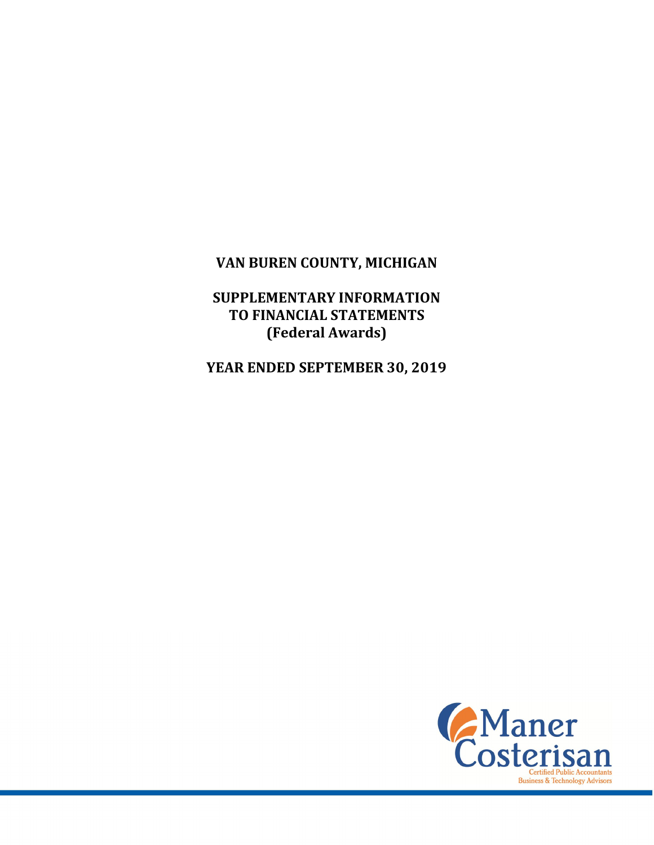# **VAN BUREN COUNTY, MICHIGAN**

**SUPPLEMENTARY INFORMATION TO FINANCIAL STATEMENTS (Federal Awards)**

**YEAR ENDED SEPTEMBER 30, 2019**

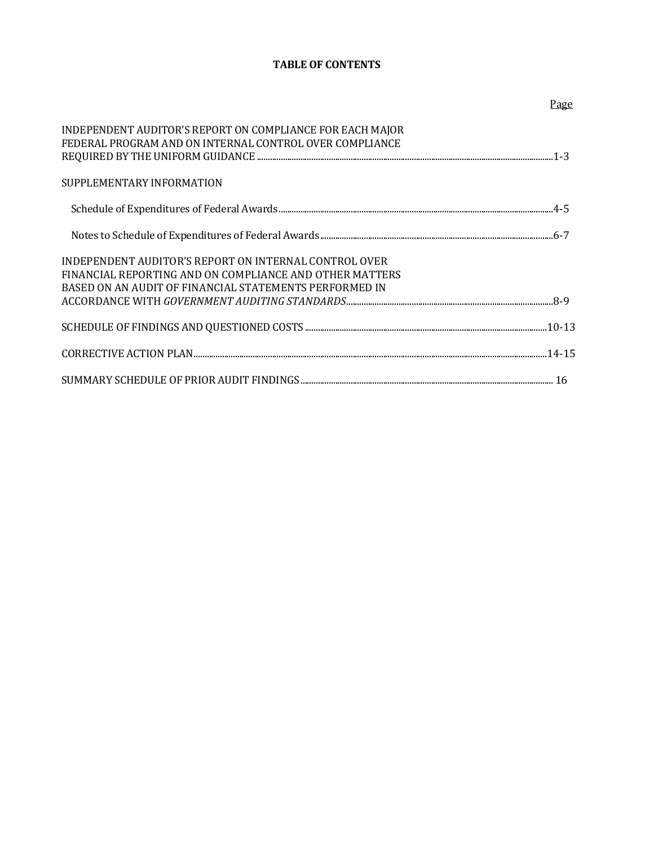# **TABLE OF CONTENTS**

| INDEPENDENT AUDITOR'S REPORT ON COMPLIANCE FOR EACH MAJOR<br>FEDERAL PROGRAM AND ON INTERNAL CONTROL OVER COMPLIANCE                                                       |  |
|----------------------------------------------------------------------------------------------------------------------------------------------------------------------------|--|
| SUPPLEMENTARY INFORMATION                                                                                                                                                  |  |
|                                                                                                                                                                            |  |
|                                                                                                                                                                            |  |
| INDEPENDENT AUDITOR'S REPORT ON INTERNAL CONTROL OVER<br>FINANCIAL REPORTING AND ON COMPLIANCE AND OTHER MATTERS<br>BASED ON AN AUDIT OF FINANCIAL STATEMENTS PERFORMED IN |  |
|                                                                                                                                                                            |  |
|                                                                                                                                                                            |  |
|                                                                                                                                                                            |  |

#### Page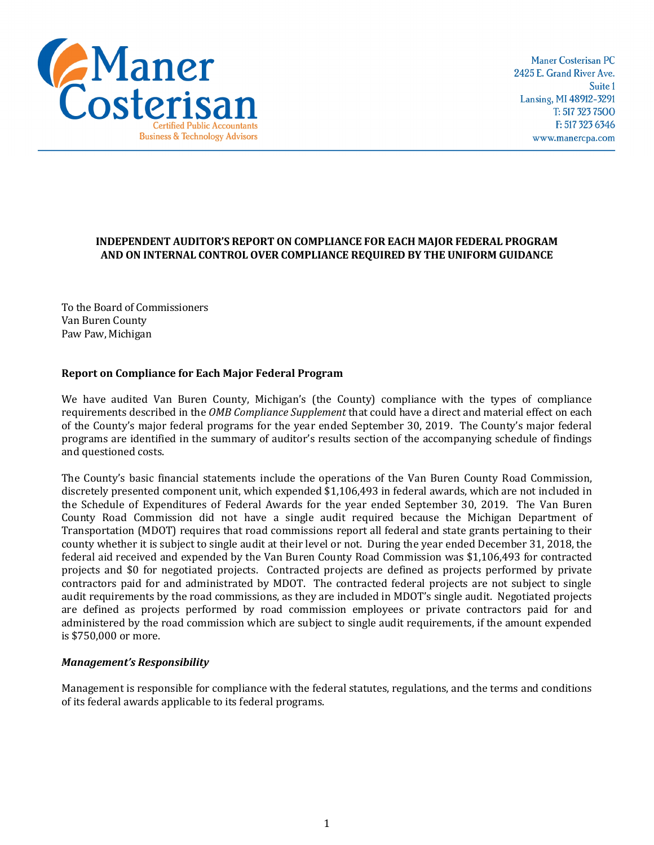

Maner Costerisan PC 2425 E. Grand River Ave. Suite 1 Lansing, MI 48912-3291 T: 517 323 7500 F: 517 323 6346 www.manercpa.com

# **INDEPENDENT AUDITOR'S REPORT ON COMPLIANCE FOR EACH MAJOR FEDERAL PROGRAM AND ON INTERNAL CONTROL OVER COMPLIANCE REQUIRED BY THE UNIFORM GUIDANCE**

To the Board of Commissioners Van Buren County Paw Paw, Michigan

# **Report on Compliance for Each Major Federal Program**

We have audited Van Buren County, Michigan's (the County) compliance with the types of compliance requirements described in the *OMB Compliance Supplement* that could have a direct and material effect on each of the County's major federal programs for the year ended September 30, 2019. The County's major federal programs are identified in the summary of auditor's results section of the accompanying schedule of findings and questioned costs.

The County's basic financial statements include the operations of the Van Buren County Road Commission, discretely presented component unit, which expended \$1,106,493 in federal awards, which are not included in the Schedule of Expenditures of Federal Awards for the year ended September 30, 2019. The Van Buren County Road Commission did not have a single audit required because the Michigan Department of Transportation (MDOT) requires that road commissions report all federal and state grants pertaining to their county whether it is subject to single audit at their level or not. During the year ended December 31, 2018, the federal aid received and expended by the Van Buren County Road Commission was \$1,106,493 for contracted projects and \$0 for negotiated projects. Contracted projects are defined as projects performed by private contractors paid for and administrated by MDOT. The contracted federal projects are not subject to single audit requirements by the road commissions, as they are included in MDOT's single audit. Negotiated projects are defined as projects performed by road commission employees or private contractors paid for and administered by the road commission which are subject to single audit requirements, if the amount expended is \$750,000 or more.

# *Management's Responsibility*

Management is responsible for compliance with the federal statutes, regulations, and the terms and conditions of its federal awards applicable to its federal programs.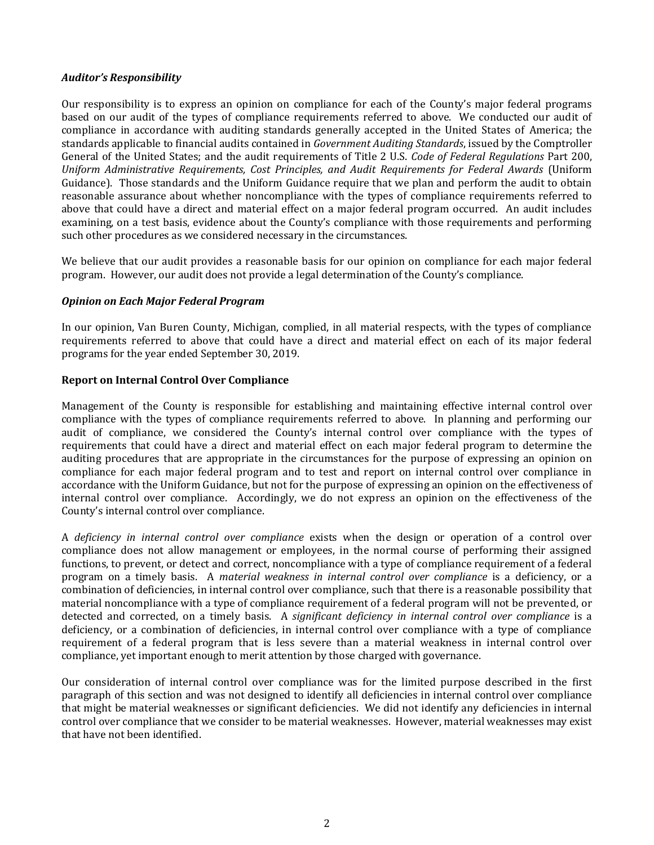#### *Auditor's Responsibility*

Our responsibility is to express an opinion on compliance for each of the County's major federal programs based on our audit of the types of compliance requirements referred to above. We conducted our audit of compliance in accordance with auditing standards generally accepted in the United States of America; the standards applicable to financial audits contained in *Government Auditing Standards*, issued by the Comptroller General of the United States; and the audit requirements of Title 2 U.S. *Code of Federal Regulations* Part 200, *Uniform Administrative Requirements, Cost Principles, and Audit Requirements for Federal Awards* (Uniform Guidance). Those standards and the Uniform Guidance require that we plan and perform the audit to obtain reasonable assurance about whether noncompliance with the types of compliance requirements referred to above that could have a direct and material effect on a major federal program occurred. An audit includes examining, on a test basis, evidence about the County's compliance with those requirements and performing such other procedures as we considered necessary in the circumstances.

We believe that our audit provides a reasonable basis for our opinion on compliance for each major federal program. However, our audit does not provide a legal determination of the County's compliance.

#### *Opinion on Each Major Federal Program*

In our opinion, Van Buren County, Michigan, complied, in all material respects, with the types of compliance requirements referred to above that could have a direct and material effect on each of its major federal programs for the year ended September 30, 2019.

#### **Report on Internal Control Over Compliance**

Management of the County is responsible for establishing and maintaining effective internal control over compliance with the types of compliance requirements referred to above. In planning and performing our audit of compliance, we considered the County's internal control over compliance with the types of requirements that could have a direct and material effect on each major federal program to determine the auditing procedures that are appropriate in the circumstances for the purpose of expressing an opinion on compliance for each major federal program and to test and report on internal control over compliance in accordance with the Uniform Guidance, but not for the purpose of expressing an opinion on the effectiveness of internal control over compliance. Accordingly, we do not express an opinion on the effectiveness of the County's internal control over compliance.

A *deficiency in internal control over compliance* exists when the design or operation of a control over compliance does not allow management or employees, in the normal course of performing their assigned functions, to prevent, or detect and correct, noncompliance with a type of compliance requirement of a federal program on a timely basis. A *material weakness in internal control over compliance* is a deficiency, or a combination of deficiencies, in internal control over compliance, such that there is a reasonable possibility that material noncompliance with a type of compliance requirement of a federal program will not be prevented, or detected and corrected, on a timely basis. A *significant deficiency in internal control over compliance* is a deficiency, or a combination of deficiencies, in internal control over compliance with a type of compliance requirement of a federal program that is less severe than a material weakness in internal control over compliance, yet important enough to merit attention by those charged with governance.

Our consideration of internal control over compliance was for the limited purpose described in the first paragraph of this section and was not designed to identify all deficiencies in internal control over compliance that might be material weaknesses or significant deficiencies. We did not identify any deficiencies in internal control over compliance that we consider to be material weaknesses. However, material weaknesses may exist that have not been identified.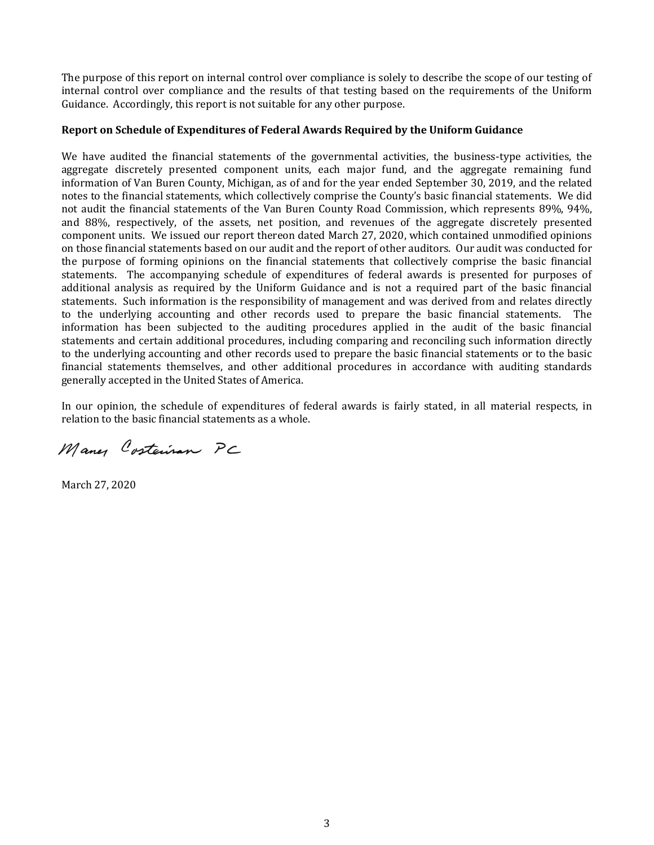The purpose of this report on internal control over compliance is solely to describe the scope of our testing of internal control over compliance and the results of that testing based on the requirements of the Uniform Guidance. Accordingly, this report is not suitable for any other purpose.

# **Report on Schedule of Expenditures of Federal Awards Required by the Uniform Guidance**

We have audited the financial statements of the governmental activities, the business-type activities, the aggregate discretely presented component units, each major fund, and the aggregate remaining fund information of Van Buren County, Michigan, as of and for the year ended September 30, 2019, and the related notes to the financial statements, which collectively comprise the County's basic financial statements. We did not audit the financial statements of the Van Buren County Road Commission, which represents 89%, 94%, and 88%, respectively, of the assets, net position, and revenues of the aggregate discretely presented component units. We issued our report thereon dated March 27, 2020, which contained unmodified opinions on those financial statements based on our audit and the report of other auditors. Our audit was conducted for the purpose of forming opinions on the financial statements that collectively comprise the basic financial statements. The accompanying schedule of expenditures of federal awards is presented for purposes of additional analysis as required by the Uniform Guidance and is not a required part of the basic financial statements. Such information is the responsibility of management and was derived from and relates directly to the underlying accounting and other records used to prepare the basic financial statements. The information has been subjected to the auditing procedures applied in the audit of the basic financial statements and certain additional procedures, including comparing and reconciling such information directly to the underlying accounting and other records used to prepare the basic financial statements or to the basic financial statements themselves, and other additional procedures in accordance with auditing standards generally accepted in the United States of America.

In our opinion, the schedule of expenditures of federal awards is fairly stated, in all material respects, in relation to the basic financial statements as a whole.

Many Costerinan PC

March 27, 2020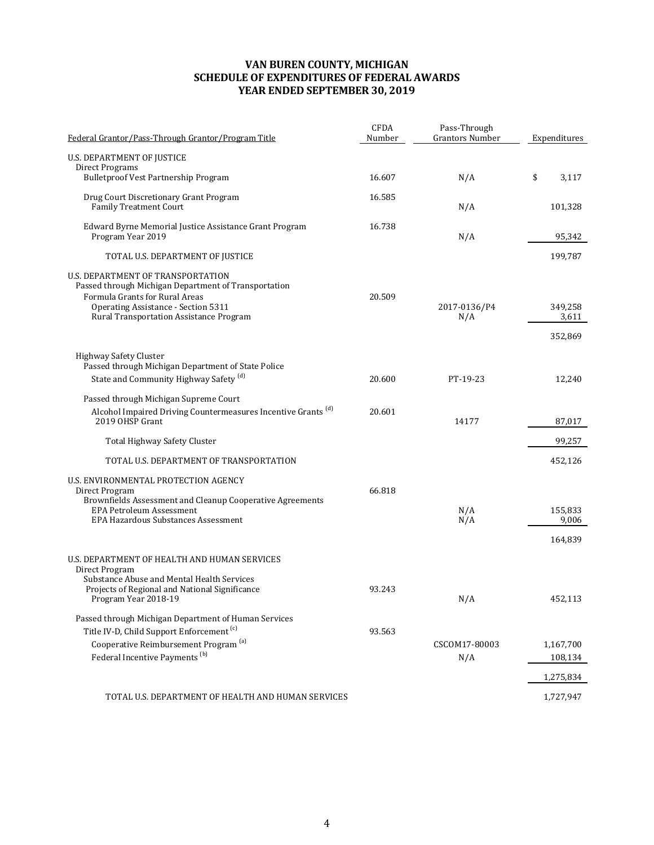# **VAN BUREN COUNTY, MICHIGAN SCHEDULE OF EXPENDITURES OF FEDERAL AWARDS YEAR ENDED SEPTEMBER 30, 2019**

| Federal Grantor/Pass-Through Grantor/Program Title                                                                                                                                                            | <b>CFDA</b><br>Number | Pass-Through<br><b>Grantors Number</b> | Expenditures                |
|---------------------------------------------------------------------------------------------------------------------------------------------------------------------------------------------------------------|-----------------------|----------------------------------------|-----------------------------|
| <b>U.S. DEPARTMENT OF JUSTICE</b>                                                                                                                                                                             |                       |                                        |                             |
| <b>Direct Programs</b><br><b>Bulletproof Vest Partnership Program</b>                                                                                                                                         | 16.607                | N/A                                    | \$<br>3,117                 |
| Drug Court Discretionary Grant Program<br><b>Family Treatment Court</b>                                                                                                                                       | 16.585                | N/A                                    | 101,328                     |
| Edward Byrne Memorial Justice Assistance Grant Program<br>Program Year 2019                                                                                                                                   | 16.738                | N/A                                    | 95,342                      |
| TOTAL U.S. DEPARTMENT OF JUSTICE                                                                                                                                                                              |                       |                                        | 199,787                     |
| U.S. DEPARTMENT OF TRANSPORTATION<br>Passed through Michigan Department of Transportation<br>Formula Grants for Rural Areas<br>Operating Assistance - Section 5311<br>Rural Transportation Assistance Program | 20.509                | 2017-0136/P4<br>N/A                    | 349,258<br>3,611            |
|                                                                                                                                                                                                               |                       |                                        | 352,869                     |
| <b>Highway Safety Cluster</b><br>Passed through Michigan Department of State Police<br>State and Community Highway Safety <sup>(d)</sup>                                                                      | 20.600                | PT-19-23                               | 12,240                      |
| Passed through Michigan Supreme Court                                                                                                                                                                         |                       |                                        |                             |
| Alcohol Impaired Driving Countermeasures Incentive Grants <sup>(d)</sup><br>2019 OHSP Grant                                                                                                                   | 20.601                | 14177                                  | 87,017                      |
| Total Highway Safety Cluster                                                                                                                                                                                  |                       |                                        | 99,257                      |
| TOTAL U.S. DEPARTMENT OF TRANSPORTATION                                                                                                                                                                       |                       |                                        | 452,126                     |
| U.S. ENVIRONMENTAL PROTECTION AGENCY<br>Direct Program<br>Brownfields Assessment and Cleanup Cooperative Agreements<br><b>EPA Petroleum Assessment</b><br><b>EPA Hazardous Substances Assessment</b>          | 66.818                | N/A<br>N/A                             | 155,833<br>9,006<br>164,839 |
|                                                                                                                                                                                                               |                       |                                        |                             |
| U.S. DEPARTMENT OF HEALTH AND HUMAN SERVICES<br>Direct Program<br>Substance Abuse and Mental Health Services<br>Projects of Regional and National Significance<br>Program Year 2018-19                        | 93.243                | N/A                                    | 452,113                     |
| Passed through Michigan Department of Human Services<br>Title IV-D, Child Support Enforcement <sup>(c)</sup><br>Cooperative Reimbursement Program <sup>(a)</sup><br>Federal Incentive Payments <sup>(b)</sup> | 93.563                | CSCOM17-80003<br>N/A                   | 1,167,700<br>108,134        |
|                                                                                                                                                                                                               |                       |                                        | 1,275,834                   |
| TOTAL U.S. DEPARTMENT OF HEALTH AND HUMAN SERVICES                                                                                                                                                            |                       |                                        | 1,727,947                   |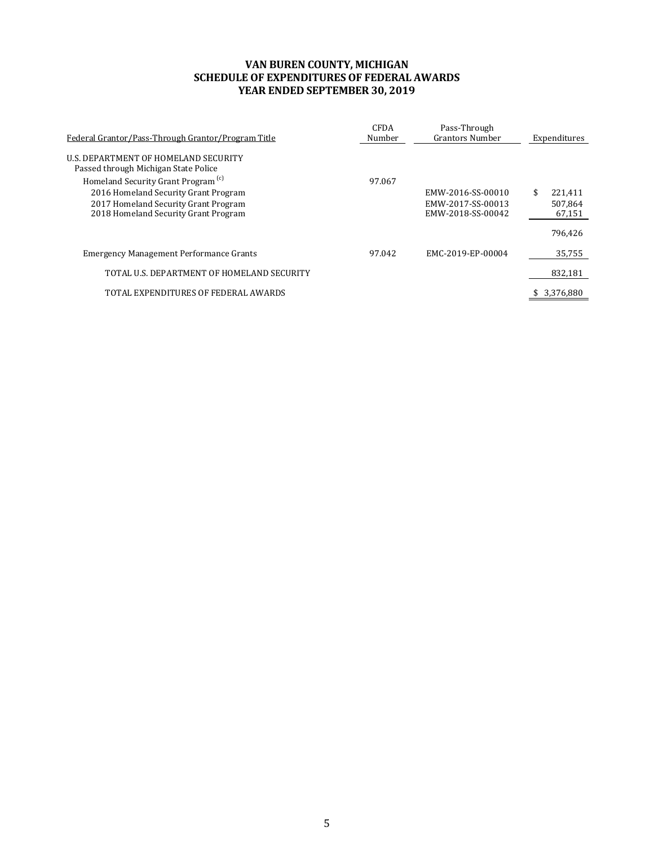# **VAN BUREN COUNTY, MICHIGAN SCHEDULE OF EXPENDITURES OF FEDERAL AWARDS YEAR ENDED SEPTEMBER 30, 2019**

| Federal Grantor/Pass-Through Grantor/Program Title                                                                                                                                                                                                     | <b>CFDA</b><br>Number | Pass-Through<br><b>Grantors Number</b>                      | Expenditures                 |
|--------------------------------------------------------------------------------------------------------------------------------------------------------------------------------------------------------------------------------------------------------|-----------------------|-------------------------------------------------------------|------------------------------|
| U.S. DEPARTMENT OF HOMELAND SECURITY<br>Passed through Michigan State Police<br>Homeland Security Grant Program <sup>(c)</sup><br>2016 Homeland Security Grant Program<br>2017 Homeland Security Grant Program<br>2018 Homeland Security Grant Program | 97.067                | EMW-2016-SS-00010<br>EMW-2017-SS-00013<br>EMW-2018-SS-00042 | 221,411<br>507,864<br>67,151 |
|                                                                                                                                                                                                                                                        |                       |                                                             | 796.426                      |
| Emergency Management Performance Grants                                                                                                                                                                                                                | 97.042                | EMC-2019-EP-00004                                           | 35,755                       |
| TOTAL U.S. DEPARTMENT OF HOMELAND SECURITY                                                                                                                                                                                                             |                       |                                                             | 832,181                      |
| TOTAL EXPENDITURES OF FEDERAL AWARDS                                                                                                                                                                                                                   |                       |                                                             | 3.376.880                    |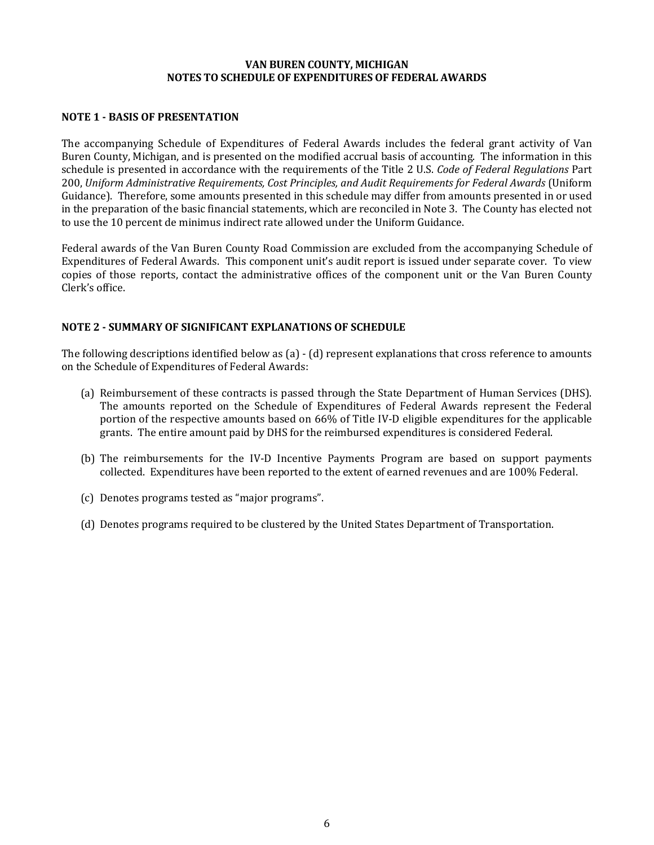#### **VAN BUREN COUNTY, MICHIGAN NOTES TO SCHEDULE OF EXPENDITURES OF FEDERAL AWARDS**

# **NOTE 1 - BASIS OF PRESENTATION**

The accompanying Schedule of Expenditures of Federal Awards includes the federal grant activity of Van Buren County, Michigan, and is presented on the modified accrual basis of accounting. The information in this schedule is presented in accordance with the requirements of the Title 2 U.S. *Code of Federal Regulations* Part 200, *Uniform Administrative Requirements, Cost Principles, and Audit Requirements for Federal Awards* (Uniform Guidance). Therefore, some amounts presented in this schedule may differ from amounts presented in or used in the preparation of the basic financial statements, which are reconciled in Note 3. The County has elected not to use the 10 percent de minimus indirect rate allowed under the Uniform Guidance.

Federal awards of the Van Buren County Road Commission are excluded from the accompanying Schedule of Expenditures of Federal Awards. This component unit's audit report is issued under separate cover. To view copies of those reports, contact the administrative offices of the component unit or the Van Buren County Clerk's office.

#### **NOTE 2 - SUMMARY OF SIGNIFICANT EXPLANATIONS OF SCHEDULE**

The following descriptions identified below as (a) - (d) represent explanations that cross reference to amounts on the Schedule of Expenditures of Federal Awards:

- (a) Reimbursement of these contracts is passed through the State Department of Human Services (DHS). The amounts reported on the Schedule of Expenditures of Federal Awards represent the Federal portion of the respective amounts based on 66% of Title IV-D eligible expenditures for the applicable grants. The entire amount paid by DHS for the reimbursed expenditures is considered Federal.
- (b) The reimbursements for the IV-D Incentive Payments Program are based on support payments collected. Expenditures have been reported to the extent of earned revenues and are 100% Federal.
- (c) Denotes programs tested as "major programs".
- (d) Denotes programs required to be clustered by the United States Department of Transportation.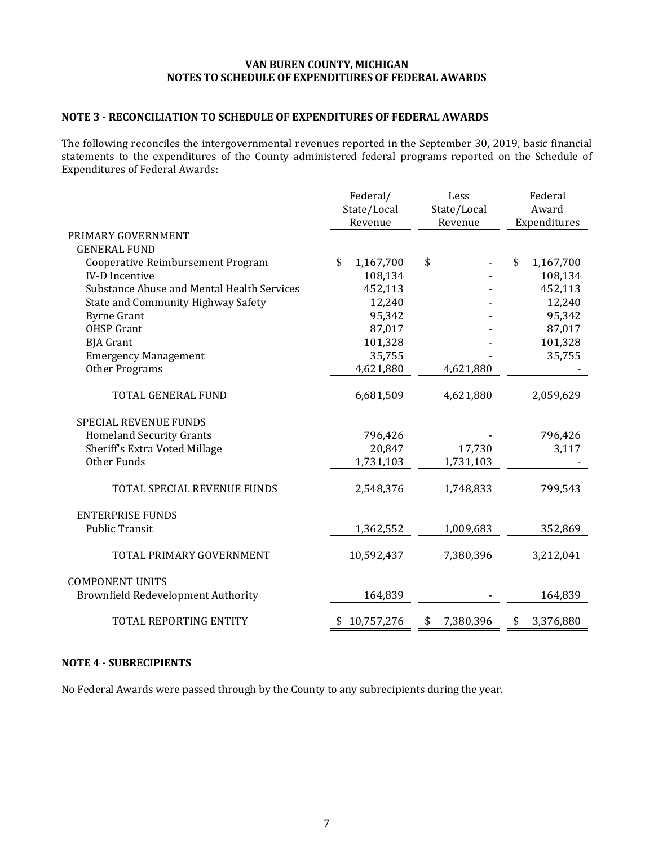#### **VAN BUREN COUNTY, MICHIGAN NOTES TO SCHEDULE OF EXPENDITURES OF FEDERAL AWARDS**

# **NOTE 3 - RECONCILIATION TO SCHEDULE OF EXPENDITURES OF FEDERAL AWARDS**

The following reconciles the intergovernmental revenues reported in the September 30, 2019, basic financial statements to the expenditures of the County administered federal programs reported on the Schedule of Expenditures of Federal Awards:

|                                            | Federal/<br>State/Local<br>Revenue |    | Less<br>State/Local<br>Revenue |    | Federal<br>Award<br>Expenditures |
|--------------------------------------------|------------------------------------|----|--------------------------------|----|----------------------------------|
| PRIMARY GOVERNMENT                         |                                    |    |                                |    |                                  |
| <b>GENERAL FUND</b>                        |                                    |    |                                |    |                                  |
| Cooperative Reimbursement Program          | \$<br>1,167,700                    | \$ |                                | \$ | 1,167,700                        |
| <b>IV-D</b> Incentive                      | 108,134                            |    |                                |    | 108,134                          |
| Substance Abuse and Mental Health Services | 452,113                            |    |                                |    | 452,113                          |
| <b>State and Community Highway Safety</b>  | 12,240                             |    |                                |    | 12,240                           |
| <b>Byrne Grant</b>                         | 95,342                             |    |                                |    | 95,342                           |
| <b>OHSP Grant</b>                          | 87,017                             |    |                                |    | 87,017                           |
| <b>BJA</b> Grant                           | 101,328                            |    |                                |    | 101,328                          |
| <b>Emergency Management</b>                | 35,755                             |    |                                |    | 35,755                           |
| Other Programs                             | 4,621,880                          |    | 4,621,880                      |    |                                  |
| TOTAL GENERAL FUND                         | 6,681,509                          |    | 4,621,880                      |    | 2,059,629                        |
| <b>SPECIAL REVENUE FUNDS</b>               |                                    |    |                                |    |                                  |
| <b>Homeland Security Grants</b>            | 796,426                            |    |                                |    | 796,426                          |
| Sheriff's Extra Voted Millage              | 20,847                             |    | 17,730                         |    | 3,117                            |
| Other Funds                                | 1,731,103                          |    | 1,731,103                      |    |                                  |
| TOTAL SPECIAL REVENUE FUNDS                | 2,548,376                          |    | 1,748,833                      |    | 799,543                          |
| <b>ENTERPRISE FUNDS</b>                    |                                    |    |                                |    |                                  |
| <b>Public Transit</b>                      | 1,362,552                          |    | 1,009,683                      |    | 352,869                          |
| TOTAL PRIMARY GOVERNMENT                   | 10,592,437                         |    | 7,380,396                      |    | 3,212,041                        |
| <b>COMPONENT UNITS</b>                     |                                    |    |                                |    |                                  |
| Brownfield Redevelopment Authority         | 164,839                            |    |                                |    | 164,839                          |
| TOTAL REPORTING ENTITY                     | 10,757,276                         | S  | 7,380,396                      | S  | 3,376,880                        |

#### **NOTE 4 - SUBRECIPIENTS**

No Federal Awards were passed through by the County to any subrecipients during the year.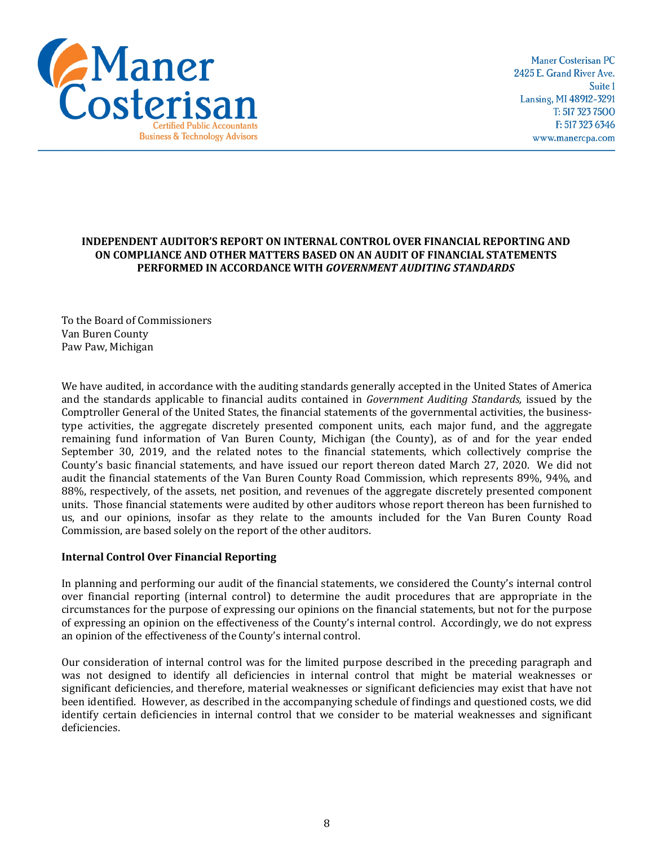

Maner Costerisan PC 2425 E. Grand River Ave. Suite 1 Lansing, MI 48912-3291 T: 517 323 7500 F: 517 323 6346 www.manercpa.com

# **INDEPENDENT AUDITOR'S REPORT ON INTERNAL CONTROL OVER FINANCIAL REPORTING AND ON COMPLIANCE AND OTHER MATTERS BASED ON AN AUDIT OF FINANCIAL STATEMENTS PERFORMED IN ACCORDANCE WITH** *GOVERNMENT AUDITING STANDARDS*

To the Board of Commissioners Van Buren County Paw Paw, Michigan

We have audited, in accordance with the auditing standards generally accepted in the United States of America and the standards applicable to financial audits contained in *Government Auditing Standards,* issued by the Comptroller General of the United States, the financial statements of the governmental activities, the businesstype activities, the aggregate discretely presented component units, each major fund, and the aggregate remaining fund information of Van Buren County, Michigan (the County), as of and for the year ended September 30, 2019, and the related notes to the financial statements, which collectively comprise the County's basic financial statements, and have issued our report thereon dated March 27, 2020. We did not audit the financial statements of the Van Buren County Road Commission, which represents 89%, 94%, and 88%, respectively, of the assets, net position, and revenues of the aggregate discretely presented component units. Those financial statements were audited by other auditors whose report thereon has been furnished to us, and our opinions, insofar as they relate to the amounts included for the Van Buren County Road Commission, are based solely on the report of the other auditors.

# **Internal Control Over Financial Reporting**

In planning and performing our audit of the financial statements, we considered the County's internal control over financial reporting (internal control) to determine the audit procedures that are appropriate in the circumstances for the purpose of expressing our opinions on the financial statements, but not for the purpose of expressing an opinion on the effectiveness of the County's internal control. Accordingly, we do not express an opinion of the effectiveness of the County's internal control.

Our consideration of internal control was for the limited purpose described in the preceding paragraph and was not designed to identify all deficiencies in internal control that might be material weaknesses or significant deficiencies, and therefore, material weaknesses or significant deficiencies may exist that have not been identified. However, as described in the accompanying schedule of findings and questioned costs, we did identify certain deficiencies in internal control that we consider to be material weaknesses and significant deficiencies.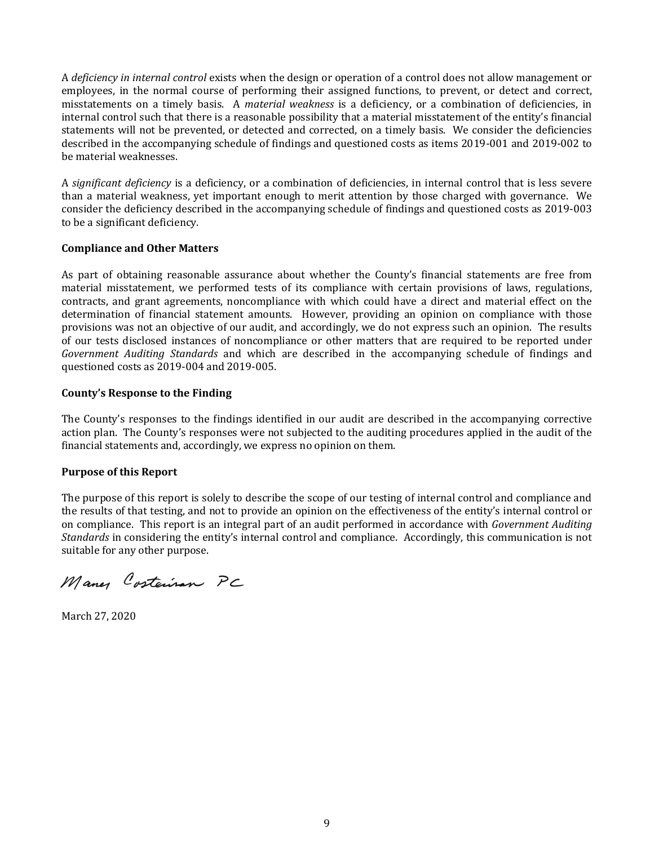A *deficiency in internal control* exists when the design or operation of a control does not allow management or employees, in the normal course of performing their assigned functions, to prevent, or detect and correct, misstatements on a timely basis. A *material weakness* is a deficiency, or a combination of deficiencies, in internal control such that there is a reasonable possibility that a material misstatement of the entity's financial statements will not be prevented, or detected and corrected, on a timely basis. We consider the deficiencies described in the accompanying schedule of findings and questioned costs as items 2019-001 and 2019-002 to be material weaknesses.

A *significant deficiency* is a deficiency, or a combination of deficiencies, in internal control that is less severe than a material weakness, yet important enough to merit attention by those charged with governance. We consider the deficiency described in the accompanying schedule of findings and questioned costs as 2019-003 to be a significant deficiency.

# **Compliance and Other Matters**

As part of obtaining reasonable assurance about whether the County's financial statements are free from material misstatement, we performed tests of its compliance with certain provisions of laws, regulations, contracts, and grant agreements, noncompliance with which could have a direct and material effect on the determination of financial statement amounts. However, providing an opinion on compliance with those provisions was not an objective of our audit, and accordingly, we do not express such an opinion. The results of our tests disclosed instances of noncompliance or other matters that are required to be reported under *Government Auditing Standards* and which are described in the accompanying schedule of findings and questioned costs as 2019-004 and 2019-005.

# **County's Response to the Finding**

The County's responses to the findings identified in our audit are described in the accompanying corrective action plan. The County's responses were not subjected to the auditing procedures applied in the audit of the financial statements and, accordingly, we express no opinion on them.

# **Purpose of this Report**

The purpose of this report is solely to describe the scope of our testing of internal control and compliance and the results of that testing, and not to provide an opinion on the effectiveness of the entity's internal control or on compliance. This report is an integral part of an audit performed in accordance with *Government Auditing Standards* in considering the entity's internal control and compliance. Accordingly, this communication is not suitable for any other purpose.

Manes Costerinan PC

March 27, 2020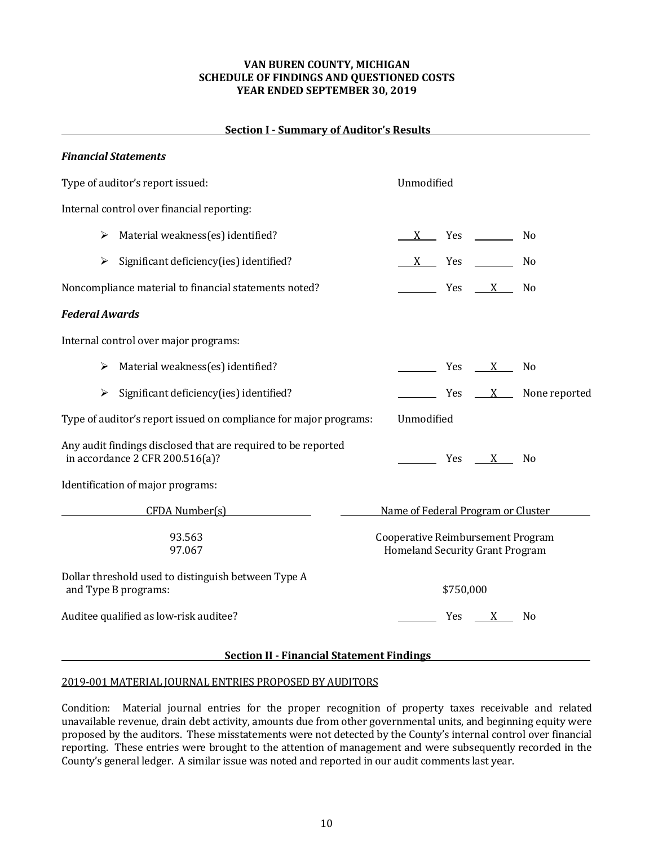#### **VAN BUREN COUNTY, MICHIGAN SCHEDULE OF FINDINGS AND QUESTIONED COSTS YEAR ENDED SEPTEMBER 30, 2019**

#### **Section I - Summary of Auditor's Results**

| <b>Financial Statements</b>                                                                      |                                                                             |
|--------------------------------------------------------------------------------------------------|-----------------------------------------------------------------------------|
| Type of auditor's report issued:                                                                 | Unmodified                                                                  |
| Internal control over financial reporting:                                                       |                                                                             |
| Material weakness(es) identified?<br>➤                                                           | N <sub>0</sub>                                                              |
| Significant deficiency(ies) identified?<br>➤                                                     | $X$ Yes $\qquad$<br>No                                                      |
| Noncompliance material to financial statements noted?                                            | $\frac{1}{1}$ Yes $\frac{X}{1}$ No                                          |
| <b>Federal Awards</b>                                                                            |                                                                             |
| Internal control over major programs:                                                            |                                                                             |
| Material weakness(es) identified?<br>➤                                                           | $\frac{\ }{\ }$ Yes $\frac{X}{X}$<br>N <sub>0</sub>                         |
| Significant deficiency(ies) identified?<br>➤                                                     | Yes $X$ None reported                                                       |
| Type of auditor's report issued on compliance for major programs:                                | Unmodified                                                                  |
| Any audit findings disclosed that are required to be reported<br>in accordance 2 CFR 200.516(a)? | Yes X<br>No.                                                                |
| Identification of major programs:                                                                |                                                                             |
| CFDA Number(s)                                                                                   | Name of Federal Program or Cluster                                          |
| 93.563<br>97.067                                                                                 | Cooperative Reimbursement Program<br><b>Homeland Security Grant Program</b> |
| Dollar threshold used to distinguish between Type A<br>and Type B programs:                      | \$750,000                                                                   |
| Auditee qualified as low-risk auditee?                                                           | Yes X<br>No.                                                                |

# **Section II - Financial Statement Findings**

#### 2019-001 MATERIAL JOURNAL ENTRIES PROPOSED BY AUDITORS

Condition: Material journal entries for the proper recognition of property taxes receivable and related unavailable revenue, drain debt activity, amounts due from other governmental units, and beginning equity were proposed by the auditors. These misstatements were not detected by the County's internal control over financial reporting. These entries were brought to the attention of management and were subsequently recorded in the County's general ledger. A similar issue was noted and reported in our audit comments last year.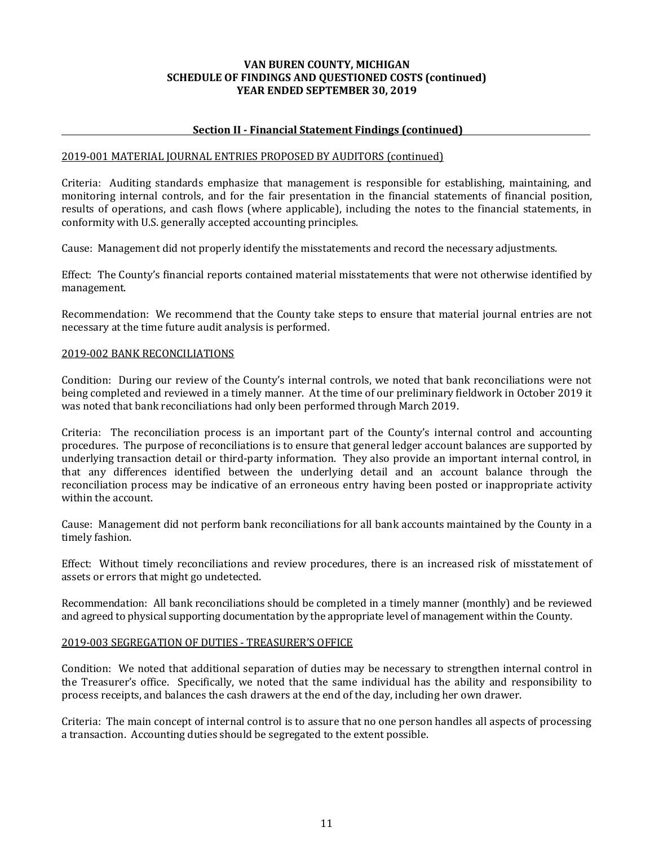# **VAN BUREN COUNTY, MICHIGAN SCHEDULE OF FINDINGS AND QUESTIONED COSTS (continued) YEAR ENDED SEPTEMBER 30, 2019**

#### **Section II - Financial Statement Findings (continued)**

#### 2019-001 MATERIAL JOURNAL ENTRIES PROPOSED BY AUDITORS (continued)

Criteria: Auditing standards emphasize that management is responsible for establishing, maintaining, and monitoring internal controls, and for the fair presentation in the financial statements of financial position, results of operations, and cash flows (where applicable), including the notes to the financial statements, in conformity with U.S. generally accepted accounting principles.

Cause: Management did not properly identify the misstatements and record the necessary adjustments.

Effect: The County's financial reports contained material misstatements that were not otherwise identified by management.

Recommendation: We recommend that the County take steps to ensure that material journal entries are not necessary at the time future audit analysis is performed.

#### 2019-002 BANK RECONCILIATIONS

Condition: During our review of the County's internal controls, we noted that bank reconciliations were not being completed and reviewed in a timely manner. At the time of our preliminary fieldwork in October 2019 it was noted that bank reconciliations had only been performed through March 2019.

Criteria: The reconciliation process is an important part of the County's internal control and accounting procedures. The purpose of reconciliations is to ensure that general ledger account balances are supported by underlying transaction detail or third-party information. They also provide an important internal control, in that any differences identified between the underlying detail and an account balance through the reconciliation process may be indicative of an erroneous entry having been posted or inappropriate activity within the account.

Cause: Management did not perform bank reconciliations for all bank accounts maintained by the County in a timely fashion.

Effect: Without timely reconciliations and review procedures, there is an increased risk of misstatement of assets or errors that might go undetected.

Recommendation: All bank reconciliations should be completed in a timely manner (monthly) and be reviewed and agreed to physical supporting documentation by the appropriate level of management within the County.

#### 2019-003 SEGREGATION OF DUTIES - TREASURER'S OFFICE

Condition: We noted that additional separation of duties may be necessary to strengthen internal control in the Treasurer's office. Specifically, we noted that the same individual has the ability and responsibility to process receipts, and balances the cash drawers at the end of the day, including her own drawer.

Criteria: The main concept of internal control is to assure that no one person handles all aspects of processing a transaction. Accounting duties should be segregated to the extent possible.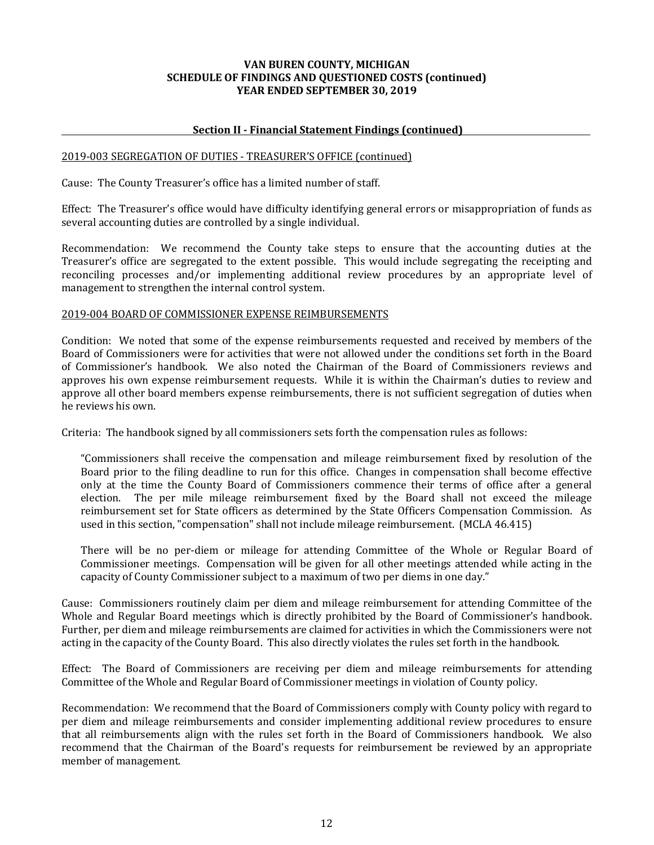#### **VAN BUREN COUNTY, MICHIGAN SCHEDULE OF FINDINGS AND QUESTIONED COSTS (continued) YEAR ENDED SEPTEMBER 30, 2019**

#### **Section II - Financial Statement Findings (continued)**

#### 2019-003 SEGREGATION OF DUTIES - TREASURER'S OFFICE (continued)

Cause: The County Treasurer's office has a limited number of staff.

Effect: The Treasurer's office would have difficulty identifying general errors or misappropriation of funds as several accounting duties are controlled by a single individual.

Recommendation: We recommend the County take steps to ensure that the accounting duties at the Treasurer's office are segregated to the extent possible. This would include segregating the receipting and reconciling processes and/or implementing additional review procedures by an appropriate level of management to strengthen the internal control system.

#### 2019-004 BOARD OF COMMISSIONER EXPENSE REIMBURSEMENTS

Condition: We noted that some of the expense reimbursements requested and received by members of the Board of Commissioners were for activities that were not allowed under the conditions set forth in the Board of Commissioner's handbook. We also noted the Chairman of the Board of Commissioners reviews and approves his own expense reimbursement requests. While it is within the Chairman's duties to review and approve all other board members expense reimbursements, there is not sufficient segregation of duties when he reviews his own.

Criteria: The handbook signed by all commissioners sets forth the compensation rules as follows:

"Commissioners shall receive the compensation and mileage reimbursement fixed by resolution of the Board prior to the filing deadline to run for this office. Changes in compensation shall become effective only at the time the County Board of Commissioners commence their terms of office after a general election. The per mile mileage reimbursement fixed by the Board shall not exceed the mileage reimbursement set for State officers as determined by the State Officers Compensation Commission. As used in this section, "compensation" shall not include mileage reimbursement. (MCLA 46.415)

There will be no per-diem or mileage for attending Committee of the Whole or Regular Board of Commissioner meetings. Compensation will be given for all other meetings attended while acting in the capacity of County Commissioner subject to a maximum of two per diems in one day."

Cause: Commissioners routinely claim per diem and mileage reimbursement for attending Committee of the Whole and Regular Board meetings which is directly prohibited by the Board of Commissioner's handbook. Further, per diem and mileage reimbursements are claimed for activities in which the Commissioners were not acting in the capacity of the County Board. This also directly violates the rules set forth in the handbook.

Effect: The Board of Commissioners are receiving per diem and mileage reimbursements for attending Committee of the Whole and Regular Board of Commissioner meetings in violation of County policy.

Recommendation: We recommend that the Board of Commissioners comply with County policy with regard to per diem and mileage reimbursements and consider implementing additional review procedures to ensure that all reimbursements align with the rules set forth in the Board of Commissioners handbook. We also recommend that the Chairman of the Board's requests for reimbursement be reviewed by an appropriate member of management.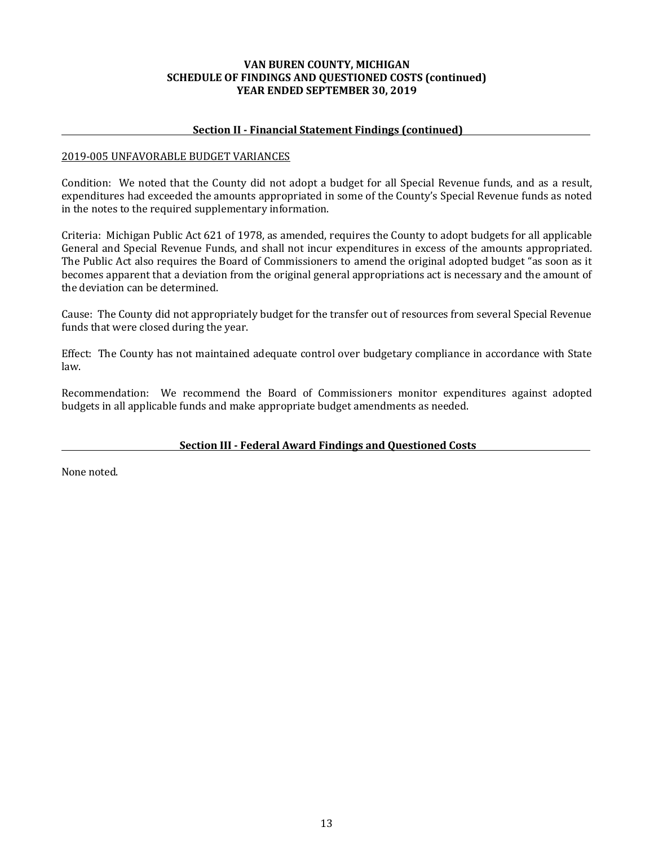#### **VAN BUREN COUNTY, MICHIGAN SCHEDULE OF FINDINGS AND QUESTIONED COSTS (continued) YEAR ENDED SEPTEMBER 30, 2019**

#### **Section II - Financial Statement Findings (continued)**

#### 2019-005 UNFAVORABLE BUDGET VARIANCES

Condition: We noted that the County did not adopt a budget for all Special Revenue funds, and as a result, expenditures had exceeded the amounts appropriated in some of the County's Special Revenue funds as noted in the notes to the required supplementary information.

Criteria: Michigan Public Act 621 of 1978, as amended, requires the County to adopt budgets for all applicable General and Special Revenue Funds, and shall not incur expenditures in excess of the amounts appropriated. The Public Act also requires the Board of Commissioners to amend the original adopted budget "as soon as it becomes apparent that a deviation from the original general appropriations act is necessary and the amount of the deviation can be determined.

Cause: The County did not appropriately budget for the transfer out of resources from several Special Revenue funds that were closed during the year.

Effect: The County has not maintained adequate control over budgetary compliance in accordance with State law.

Recommendation: We recommend the Board of Commissioners monitor expenditures against adopted budgets in all applicable funds and make appropriate budget amendments as needed.

# **Section III - Federal Award Findings and Questioned Costs**

None noted.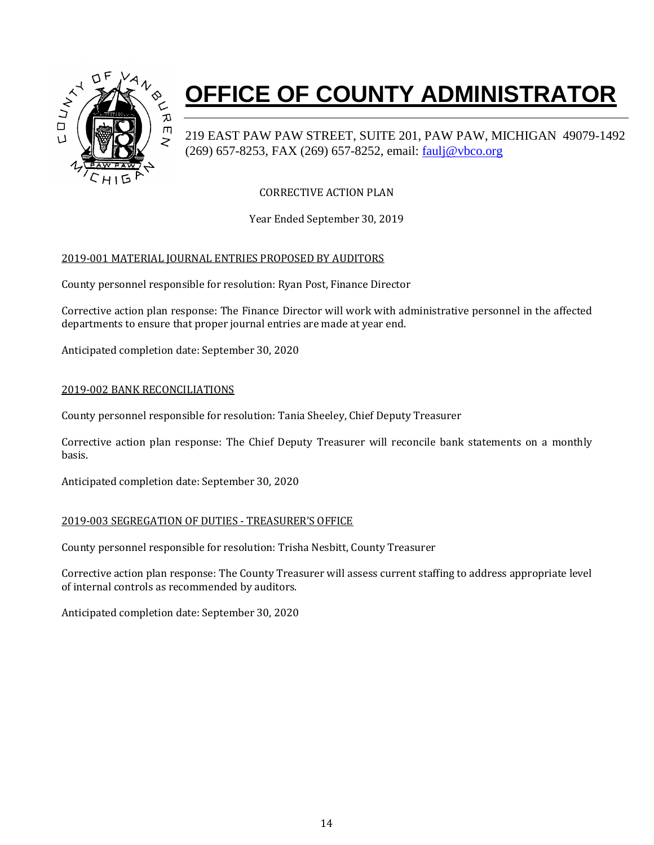

# **OFFICE OF COUNTY ADMINISTRATOR**

219 EAST PAW PAW STREET, SUITE 201, PAW PAW, MICHIGAN 49079-1492 (269) 657-8253, FAX (269) 657-8252, email: [faulj@vbco.org](mailto:faulj@vbco.org)

CORRECTIVE ACTION PLAN

Year Ended September 30, 2019

# 2019-001 MATERIAL JOURNAL ENTRIES PROPOSED BY AUDITORS

County personnel responsible for resolution: Ryan Post, Finance Director

Corrective action plan response: The Finance Director will work with administrative personnel in the affected departments to ensure that proper journal entries are made at year end.

Anticipated completion date: September 30, 2020

# 2019-002 BANK RECONCILIATIONS

County personnel responsible for resolution: Tania Sheeley, Chief Deputy Treasurer

Corrective action plan response: The Chief Deputy Treasurer will reconcile bank statements on a monthly basis.

Anticipated completion date: September 30, 2020

# 2019-003 SEGREGATION OF DUTIES - TREASURER'S OFFICE

County personnel responsible for resolution: Trisha Nesbitt, County Treasurer

Corrective action plan response: The County Treasurer will assess current staffing to address appropriate level of internal controls as recommended by auditors.

Anticipated completion date: September 30, 2020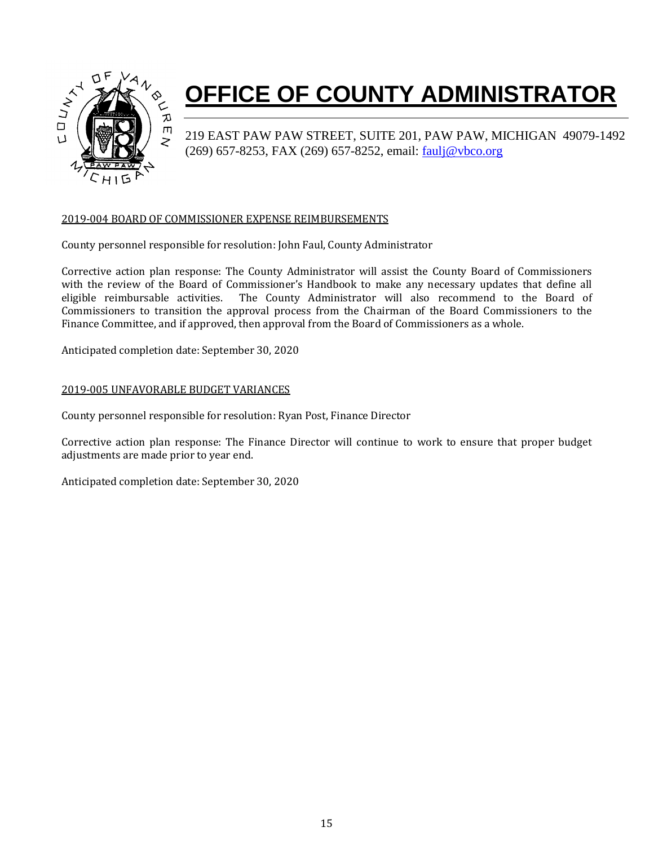

# **OFFICE OF COUNTY ADMINISTRATOR**

219 EAST PAW PAW STREET, SUITE 201, PAW PAW, MICHIGAN 49079-1492 (269) 657-8253, FAX (269) 657-8252, email: [faulj@vbco.org](mailto:faulj@vbco.org)

# 2019-004 BOARD OF COMMISSIONER EXPENSE REIMBURSEMENTS

County personnel responsible for resolution: John Faul, County Administrator

Corrective action plan response: The County Administrator will assist the County Board of Commissioners with the review of the Board of Commissioner's Handbook to make any necessary updates that define all eligible reimbursable activities. The County Administrator will also recommend to the Board of Commissioners to transition the approval process from the Chairman of the Board Commissioners to the Finance Committee, and if approved, then approval from the Board of Commissioners as a whole.

Anticipated completion date: September 30, 2020

# 2019-005 UNFAVORABLE BUDGET VARIANCES

County personnel responsible for resolution: Ryan Post, Finance Director

Corrective action plan response: The Finance Director will continue to work to ensure that proper budget adjustments are made prior to year end.

Anticipated completion date: September 30, 2020